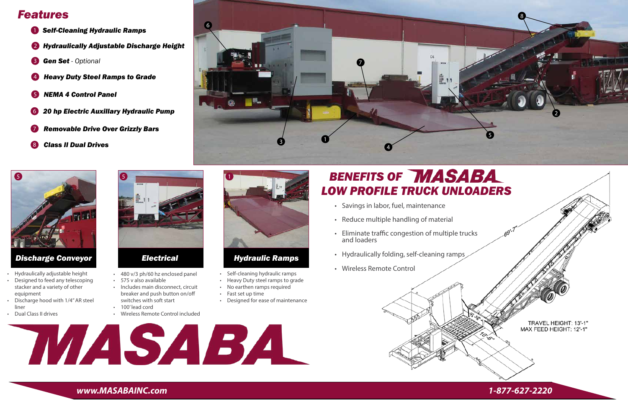4



6

- 1 *Self-Cleaning Hydraulic Ramps*
- 2 *Hydraulically Adjustable Discharge Height*
- 3 *Gen Set - Optional*
- 4 *Heavy Duty Steel Ramps to Grade*
- 5 *NEMA 4 Control Panel*
- 6 *20 hp Electric Auxillary Hydraulic Pump*
- 7 *Removable Drive Over Grizzly Bars*
- 8 *Class II Dual Drives*



## *Features*

### *Hydraulic Ramps*

#### *Discharge Conveyor*



#### *Electrical*



- Self-cleaning hydraulic ramps
- Heavy Duty steel ramps to grade
- No earthen ramps required
- Fast set up time
- Designed for ease of maintenance

# **BENEFITS OF MASABA**

- Hydraulically adjustable height
- Designed to feed any telescoping stacker and a variety of other equipment
- Discharge hood with 1/4" AR steel liner
- Dual Class II drives
- 480 v/3 ph/60 hz enclosed panel
- 575 v also available
- Includes main disconnect, circuit breaker and push button on/off switches with soft start
- 100' lead cord
- Wireless Remote Control included

*www.MASABAINC.com 1-877-627-2220*

7





- Savings in labor, fuel, maintenance
- Reduce multiple handling of material
- Eliminate traffic congestion of multiple trucks and loaders
- Hydraulically folding, self-cleaning ramps
- Wireless Remote Control